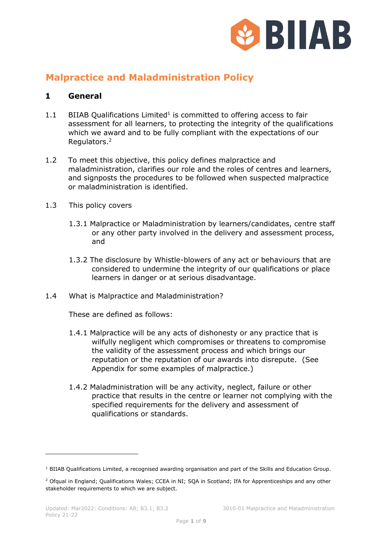

# **Malpractice and Maladministration Policy**

#### **1 General**

- $1.1$  BIIAB Qualifications Limited<sup>1</sup> is committed to offering access to fair assessment for all learners, to protecting the integrity of the qualifications which we award and to be fully compliant with the expectations of our Regulators.<sup>2</sup>
- 1.2 To meet this objective, this policy defines malpractice and maladministration, clarifies our role and the roles of centres and learners, and signposts the procedures to be followed when suspected malpractice or maladministration is identified.
- 1.3 This policy covers
	- 1.3.1 Malpractice or Maladministration by learners/candidates, centre staff or any other party involved in the delivery and assessment process, and
	- 1.3.2 The disclosure by Whistle-blowers of any act or behaviours that are considered to undermine the integrity of our qualifications or place learners in danger or at serious disadvantage.
- 1.4 What is Malpractice and Maladministration?

These are defined as follows:

- 1.4.1 Malpractice will be any acts of dishonesty or any practice that is wilfully negligent which compromises or threatens to compromise the validity of the assessment process and which brings our reputation or the reputation of our awards into disrepute. (See Appendix for some examples of malpractice.)
- 1.4.2 Maladministration will be any activity, neglect, failure or other practice that results in the centre or learner not complying with the specified requirements for the delivery and assessment of qualifications or standards.

<sup>&</sup>lt;sup>1</sup> BIIAB Qualifications Limited, a recognised awarding organisation and part of the Skills and Education Group.

<sup>&</sup>lt;sup>2</sup> Ofqual in England; Qualifications Wales; CCEA in NI; SQA in Scotland; IfA for Apprenticeships and any other stakeholder requirements to which we are subject.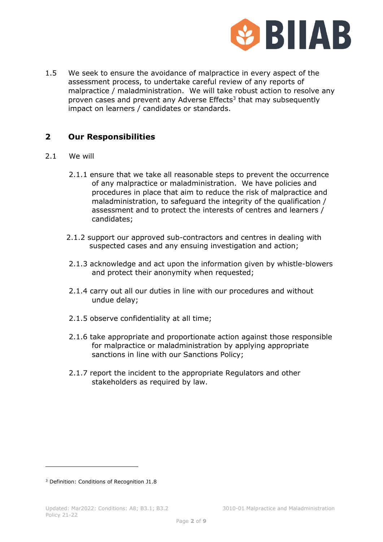

1.5 We seek to ensure the avoidance of malpractice in every aspect of the assessment process, to undertake careful review of any reports of malpractice / maladministration. We will take robust action to resolve any proven cases and prevent any Adverse Effects<sup>3</sup> that may subsequently impact on learners / candidates or standards.

## **2 Our Responsibilities**

- 2.1 We will
	- 2.1.1 ensure that we take all reasonable steps to prevent the occurrence of any malpractice or maladministration. We have policies and procedures in place that aim to reduce the risk of malpractice and maladministration, to safeguard the integrity of the qualification / assessment and to protect the interests of centres and learners / candidates;
	- 2.1.2 support our approved sub-contractors and centres in dealing with suspected cases and any ensuing investigation and action;
	- 2.1.3 acknowledge and act upon the information given by whistle-blowers and protect their anonymity when requested;
	- 2.1.4 carry out all our duties in line with our procedures and without undue delay;
	- 2.1.5 observe confidentiality at all time;
	- 2.1.6 take appropriate and proportionate action against those responsible for malpractice or maladministration by applying appropriate sanctions in line with our Sanctions Policy;
	- 2.1.7 report the incident to the appropriate Regulators and other stakeholders as required by law.

<sup>3</sup> Definition: Conditions of Recognition J1.8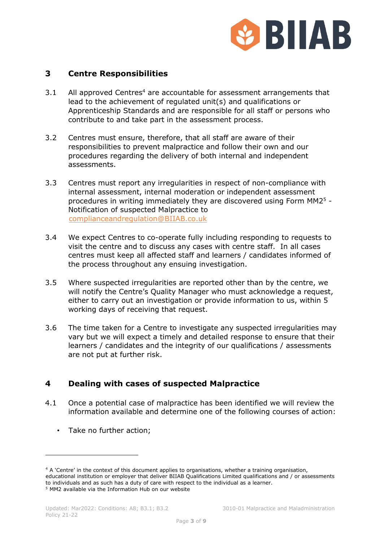

#### **3 Centre Responsibilities**

- 3.1 All approved Centres<sup>4</sup> are accountable for assessment arrangements that lead to the achievement of regulated unit(s) and qualifications or Apprenticeship Standards and are responsible for all staff or persons who contribute to and take part in the assessment process.
- 3.2 Centres must ensure, therefore, that all staff are aware of their responsibilities to prevent malpractice and follow their own and our procedures regarding the delivery of both internal and independent assessments.
- 3.3 Centres must report any irregularities in respect of non-compliance with internal assessment, internal moderation or independent assessment procedures in writing immediately they are discovered using Form MM2<sup>5</sup> - Notification of suspected Malpractice to [complianceandregulation@BIIAB.co.uk](complianceandregulation@BIIAB.co.uk%20)
- 3.4 We expect Centres to co-operate fully including responding to requests to visit the centre and to discuss any cases with centre staff. In all cases centres must keep all affected staff and learners / candidates informed of the process throughout any ensuing investigation.
- 3.5 Where suspected irregularities are reported other than by the centre, we will notify the Centre's Quality Manager who must acknowledge a request, either to carry out an investigation or provide information to us, within 5 working days of receiving that request.
- 3.6 The time taken for a Centre to investigate any suspected irregularities may vary but we will expect a timely and detailed response to ensure that their learners / candidates and the integrity of our qualifications / assessments are not put at further risk.

#### **4 Dealing with cases of suspected Malpractice**

- 4.1 Once a potential case of malpractice has been identified we will review the information available and determine one of the following courses of action:
	- Take no further action;

<sup>4</sup> A 'Centre' in the context of this document applies to organisations, whether a training organisation, educational institution or employer that deliver BIIAB Qualifications Limited qualifications and / or assessments to individuals and as such has a duty of care with respect to the individual as a learner. <sup>5</sup> MM2 available via the Information Hub on our website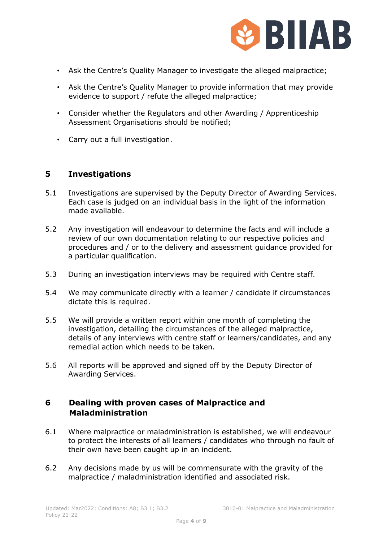

- Ask the Centre's Quality Manager to investigate the alleged malpractice;
- Ask the Centre's Quality Manager to provide information that may provide evidence to support / refute the alleged malpractice;
- Consider whether the Regulators and other Awarding / Apprenticeship Assessment Organisations should be notified;
- Carry out a full investigation.

#### **5 Investigations**

- 5.1 Investigations are supervised by the Deputy Director of Awarding Services. Each case is judged on an individual basis in the light of the information made available.
- 5.2 Any investigation will endeavour to determine the facts and will include a review of our own documentation relating to our respective policies and procedures and / or to the delivery and assessment guidance provided for a particular qualification.
- 5.3 During an investigation interviews may be required with Centre staff.
- 5.4 We may communicate directly with a learner / candidate if circumstances dictate this is required.
- 5.5 We will provide a written report within one month of completing the investigation, detailing the circumstances of the alleged malpractice, details of any interviews with centre staff or learners/candidates, and any remedial action which needs to be taken.
- 5.6 All reports will be approved and signed off by the Deputy Director of Awarding Services.

#### **6 Dealing with proven cases of Malpractice and Maladministration**

- 6.1 Where malpractice or maladministration is established, we will endeavour to protect the interests of all learners / candidates who through no fault of their own have been caught up in an incident.
- 6.2 Any decisions made by us will be commensurate with the gravity of the malpractice / maladministration identified and associated risk.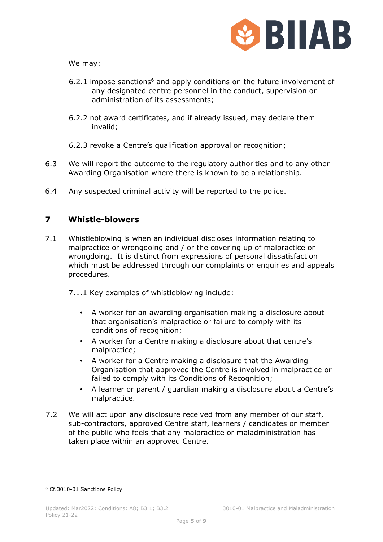

We may:

- 6.2.1 impose sanctions<sup>6</sup> and apply conditions on the future involvement of any designated centre personnel in the conduct, supervision or administration of its assessments;
- 6.2.2 not award certificates, and if already issued, may declare them invalid;
- 6.2.3 revoke a Centre's qualification approval or recognition;
- 6.3 We will report the outcome to the regulatory authorities and to any other Awarding Organisation where there is known to be a relationship.
- 6.4 Any suspected criminal activity will be reported to the police.

## **7 Whistle-blowers**

7.1 Whistleblowing is when an individual discloses information relating to malpractice or wrongdoing and / or the covering up of malpractice or wrongdoing. It is distinct from expressions of personal dissatisfaction which must be addressed through our complaints or enquiries and appeals procedures.

7.1.1 Key examples of whistleblowing include:

- A worker for an awarding organisation making a disclosure about that organisation's malpractice or failure to comply with its conditions of recognition;
- A worker for a Centre making a disclosure about that centre's malpractice;
- A worker for a Centre making a disclosure that the Awarding Organisation that approved the Centre is involved in malpractice or failed to comply with its Conditions of Recognition;
- A learner or parent / guardian making a disclosure about a Centre's malpractice.
- 7.2 We will act upon any disclosure received from any member of our staff, sub-contractors, approved Centre staff, learners / candidates or member of the public who feels that any malpractice or maladministration has taken place within an approved Centre.

<sup>6</sup> Cf.3010-01 Sanctions Policy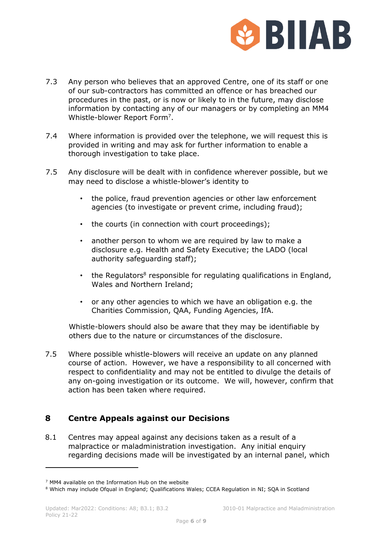

- 7.3 Any person who believes that an approved Centre, one of its staff or one of our sub-contractors has committed an offence or has breached our procedures in the past, or is now or likely to in the future, may disclose information by contacting any of our managers or by completing an MM4 Whistle-blower Report Form<sup>7</sup>.
- 7.4 Where information is provided over the telephone, we will request this is provided in writing and may ask for further information to enable a thorough investigation to take place.
- 7.5 Any disclosure will be dealt with in confidence wherever possible, but we may need to disclose a whistle-blower's identity to
	- the police, fraud prevention agencies or other law enforcement agencies (to investigate or prevent crime, including fraud);
	- the courts (in connection with court proceedings);
	- another person to whom we are required by law to make a disclosure e.g. Health and Safety Executive; the LADO (local authority safeguarding staff);
	- the Regulators<sup>8</sup> responsible for regulating qualifications in England, Wales and Northern Ireland;
	- or any other agencies to which we have an obligation e.g. the Charities Commission, QAA, Funding Agencies, IfA.

Whistle-blowers should also be aware that they may be identifiable by others due to the nature or circumstances of the disclosure.

7.5 Where possible whistle-blowers will receive an update on any planned course of action. However, we have a responsibility to all concerned with respect to confidentiality and may not be entitled to divulge the details of any on-going investigation or its outcome. We will, however, confirm that action has been taken where required.

#### **8 Centre Appeals against our Decisions**

8.1 Centres may appeal against any decisions taken as a result of a malpractice or maladministration investigation. Any initial enquiry regarding decisions made will be investigated by an internal panel, which

<sup>7</sup> MM4 available on the Information Hub on the website

<sup>&</sup>lt;sup>8</sup> Which may include Ofqual in England; Qualifications Wales; CCEA Regulation in NI; SQA in Scotland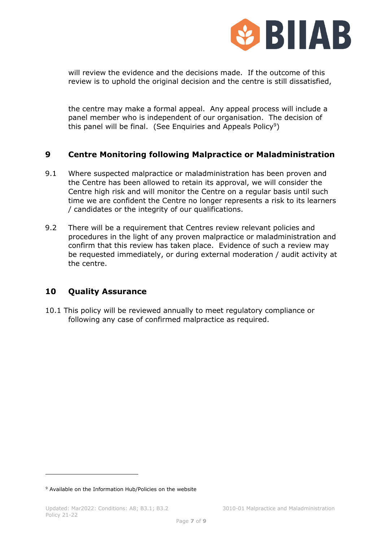

will review the evidence and the decisions made. If the outcome of this review is to uphold the original decision and the centre is still dissatisfied,

the centre may make a formal appeal. Any appeal process will include a panel member who is independent of our organisation. The decision of this panel will be final. (See Enquiries and Appeals Policy<sup>9</sup>)

## **9 Centre Monitoring following Malpractice or Maladministration**

- 9.1 Where suspected malpractice or maladministration has been proven and the Centre has been allowed to retain its approval, we will consider the Centre high risk and will monitor the Centre on a regular basis until such time we are confident the Centre no longer represents a risk to its learners / candidates or the integrity of our qualifications.
- 9.2 There will be a requirement that Centres review relevant policies and procedures in the light of any proven malpractice or maladministration and confirm that this review has taken place. Evidence of such a review may be requested immediately, or during external moderation / audit activity at the centre.

#### **10 Quality Assurance**

10.1 This policy will be reviewed annually to meet regulatory compliance or following any case of confirmed malpractice as required.

<sup>9</sup> Available on the Information Hub/Policies on the website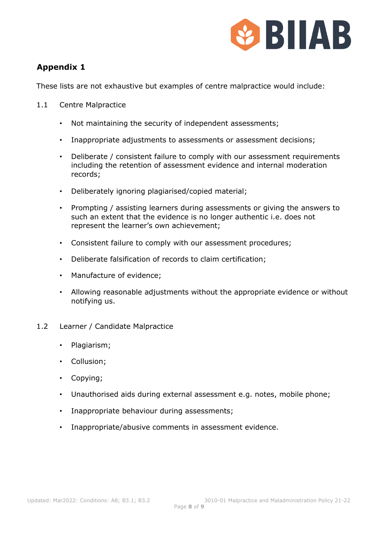

## **Appendix 1**

These lists are not exhaustive but examples of centre malpractice would include:

- 1.1 Centre Malpractice
	- Not maintaining the security of independent assessments;
	- Inappropriate adjustments to assessments or assessment decisions;
	- Deliberate / consistent failure to comply with our assessment requirements including the retention of assessment evidence and internal moderation records;
	- Deliberately ignoring plagiarised/copied material;
	- Prompting / assisting learners during assessments or giving the answers to such an extent that the evidence is no longer authentic i.e. does not represent the learner's own achievement;
	- Consistent failure to comply with our assessment procedures;
	- Deliberate falsification of records to claim certification;
	- Manufacture of evidence;
	- Allowing reasonable adjustments without the appropriate evidence or without notifying us.
- 1.2 Learner / Candidate Malpractice
	- Plagiarism;
	- Collusion;
	- Copying;
	- Unauthorised aids during external assessment e.g. notes, mobile phone;
	- Inappropriate behaviour during assessments;
	- Inappropriate/abusive comments in assessment evidence.